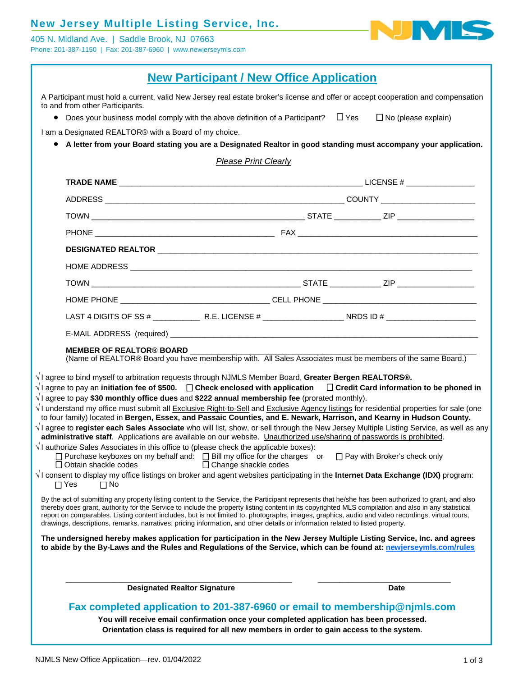### **New Jersey Multiple Listing Service, Inc.**

405 N. Midland Ave. | Saddle Brook, NJ 07663 Phone: 201-387-1150 | Fax: 201-387-6960 | www.newjerseymls.com



| <b>New Participant / New Office Application</b> |  |  |
|-------------------------------------------------|--|--|
|-------------------------------------------------|--|--|

A Participant must hold a current, valid New Jersey real estate broker's license and offer or accept cooperation and compensation to and from other Participants.

• Does your business model comply with the above definition of a Participant?  $\Box$  Yes  $\Box$  No (please explain)

I am a Designated REALTOR® with a Board of my choice.

 **A letter from your Board stating you are a Designated Realtor in good standing must accompany your application.** 

*Please Print Clearly*

| The undersigned hereby makes application for participation in the New Jersey Multiple Listing Service, Inc. and agrees<br>to abide by the By-Laws and the Rules and Regulations of the Service, which can be found at: newjerseymls.com/rules                                                                                                                                                                                                                                                                                                                                                      |                        |  |
|----------------------------------------------------------------------------------------------------------------------------------------------------------------------------------------------------------------------------------------------------------------------------------------------------------------------------------------------------------------------------------------------------------------------------------------------------------------------------------------------------------------------------------------------------------------------------------------------------|------------------------|--|
|                                                                                                                                                                                                                                                                                                                                                                                                                                                                                                                                                                                                    |                        |  |
| By the act of submitting any property listing content to the Service, the Participant represents that he/she has been authorized to grant, and also<br>thereby does grant, authority for the Service to include the property listing content in its copyrighted MLS compilation and also in any statistical<br>report on comparables. Listing content includes, but is not limited to, photographs, images, graphics, audio and video recordings, virtual tours,<br>drawings, descriptions, remarks, narratives, pricing information, and other details or information related to listed property. |                        |  |
| $\sqrt{1}$ consent to display my office listings on broker and agent websites participating in the Internet Data Exchange (IDX) program:<br>$\Box$ Yes<br>$\Box$ No                                                                                                                                                                                                                                                                                                                                                                                                                                |                        |  |
| $\Box$ Obtain shackle codes                                                                                                                                                                                                                                                                                                                                                                                                                                                                                                                                                                        | □ Change shackle codes |  |
| $\sqrt{ }$ I authorize Sales Associates in this office to (please check the applicable boxes):<br>□ Purchase keyboxes on my behalf and: □ Bill my office for the charges or □ Pay with Broker's check only                                                                                                                                                                                                                                                                                                                                                                                         |                        |  |
| √I agree to register each Sales Associate who will list, show, or sell through the New Jersey Multiple Listing Service, as well as any<br>administrative staff. Applications are available on our website. Unauthorized use/sharing of passwords is prohibited.                                                                                                                                                                                                                                                                                                                                    |                        |  |
| to four family) located in Bergen, Essex, and Passaic Counties, and E. Newark, Harrison, and Kearny in Hudson County.                                                                                                                                                                                                                                                                                                                                                                                                                                                                              |                        |  |
| $\sqrt{1}$ agree to pay \$30 monthly office dues and \$222 annual membership fee (prorated monthly).<br>$\sqrt{1}$ understand my office must submit all Exclusive Right-to-Sell and Exclusive Agency listings for residential properties for sale (one                                                                                                                                                                                                                                                                                                                                             |                        |  |
| $\sqrt{}$ I agree to bind myself to arbitration requests through NJMLS Member Board, Greater Bergen REALTORS®.<br>$\forall$ l agree to pay an initiation fee of \$500. $\;\;\;\Box$ Check enclosed with application $\;\;\;\;\Box$ Credit Card information to be phoned in                                                                                                                                                                                                                                                                                                                         |                        |  |
|                                                                                                                                                                                                                                                                                                                                                                                                                                                                                                                                                                                                    |                        |  |
| <b>MEMBER OF REALTOR® BOARD</b><br>(Name of REALTOR® Board you have membership with. All Sales Associates must be members of the same Board.)                                                                                                                                                                                                                                                                                                                                                                                                                                                      |                        |  |
|                                                                                                                                                                                                                                                                                                                                                                                                                                                                                                                                                                                                    |                        |  |
|                                                                                                                                                                                                                                                                                                                                                                                                                                                                                                                                                                                                    |                        |  |
|                                                                                                                                                                                                                                                                                                                                                                                                                                                                                                                                                                                                    |                        |  |
|                                                                                                                                                                                                                                                                                                                                                                                                                                                                                                                                                                                                    |                        |  |
|                                                                                                                                                                                                                                                                                                                                                                                                                                                                                                                                                                                                    |                        |  |
|                                                                                                                                                                                                                                                                                                                                                                                                                                                                                                                                                                                                    |                        |  |
|                                                                                                                                                                                                                                                                                                                                                                                                                                                                                                                                                                                                    |                        |  |
|                                                                                                                                                                                                                                                                                                                                                                                                                                                                                                                                                                                                    |                        |  |
|                                                                                                                                                                                                                                                                                                                                                                                                                                                                                                                                                                                                    |                        |  |
|                                                                                                                                                                                                                                                                                                                                                                                                                                                                                                                                                                                                    |                        |  |

confirmation once your completed application has been processed. **Orientation class is required for all new members in order to gain access to the system.**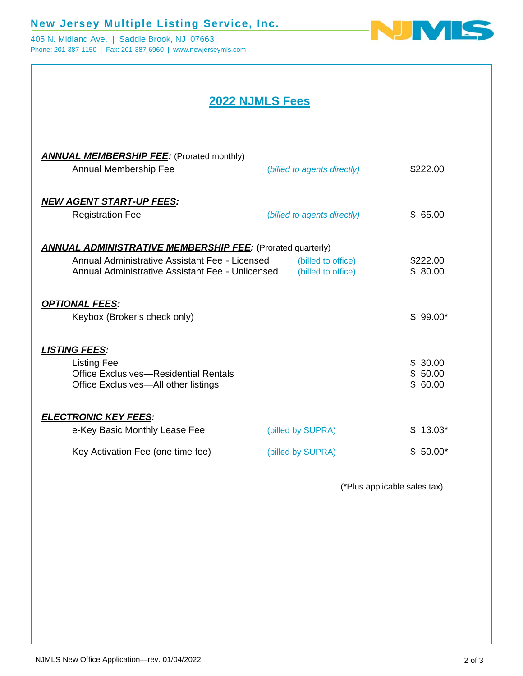## **New Jersey Multiple Listing Service, Inc.**

405 N. Midland Ave. | Saddle Brook, NJ 07663 Phone: 201-387-1150 | Fax: 201-387-6960 | www.newjerseymls.com



# **2022 NJMLS Fees**

| <b>ANNUAL MEMBERSHIP FEE:</b> (Prorated monthly)<br>Annual Membership Fee                                                                                               | (billed to agents directly)              | \$222.00                      |
|-------------------------------------------------------------------------------------------------------------------------------------------------------------------------|------------------------------------------|-------------------------------|
| <b>NEW AGENT START-UP FEES:</b><br><b>Registration Fee</b>                                                                                                              | (billed to agents directly)              | \$65.00                       |
| <b>ANNUAL ADMINISTRATIVE MEMBERSHIP FEE:</b> (Prorated quarterly)<br>Annual Administrative Assistant Fee - Licensed<br>Annual Administrative Assistant Fee - Unlicensed | (billed to office)<br>(billed to office) | \$222.00<br>\$80.00           |
| <b>OPTIONAL FEES:</b><br>Keybox (Broker's check only)                                                                                                                   |                                          | $$99.00*$                     |
| <u>LISTING FEES:</u><br><b>Listing Fee</b><br>Office Exclusives—Residential Rentals<br>Office Exclusives-All other listings                                             |                                          | \$30.00<br>\$50.00<br>\$60.00 |
| <b>ELECTRONIC KEY FEES:</b><br>e-Key Basic Monthly Lease Fee                                                                                                            | (billed by SUPRA)                        | 13.03*<br>£.                  |
| Key Activation Fee (one time fee)                                                                                                                                       | (billed by SUPRA)                        | $$50.00*$                     |

(\*Plus applicable sales tax)